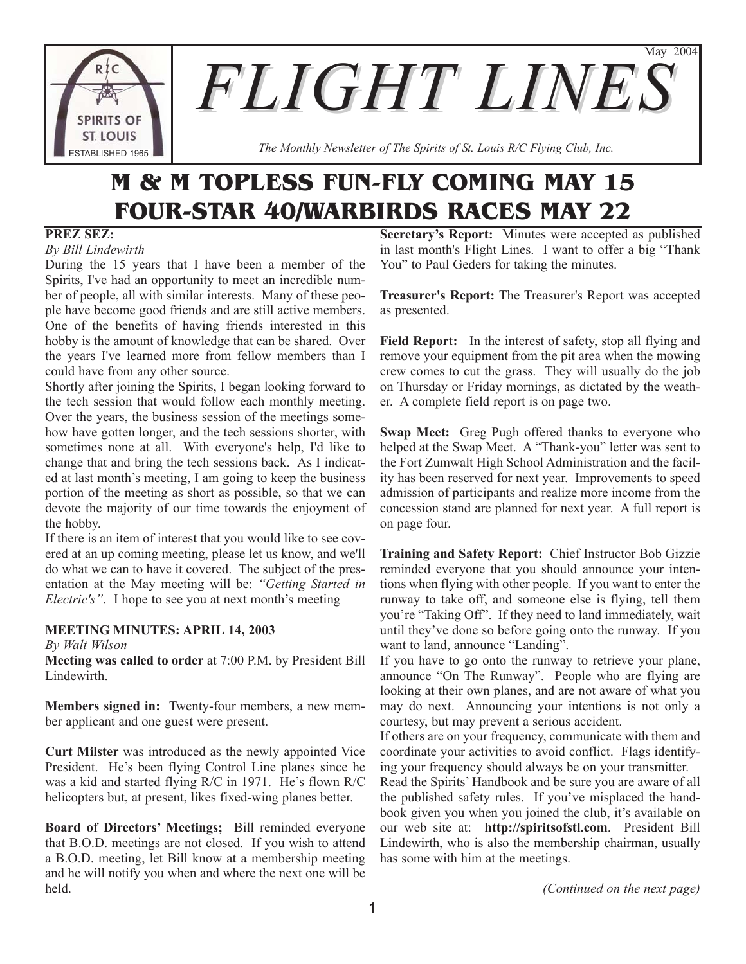

*The Monthly Newsletter of The Spirits of St. Louis R/C Flying Club, Inc.*

# **M & M TOPLESS FUN-FLY COMING MAY 15 FOUR-STAR 40/WARBIRDS RACES MAY 22**

# **PREZ SEZ:**

*By Bill Lindewirth*

During the 15 years that I have been a member of the Spirits, I've had an opportunity to meet an incredible number of people, all with similar interests. Many of these people have become good friends and are still active members. One of the benefits of having friends interested in this hobby is the amount of knowledge that can be shared. Over the years I've learned more from fellow members than I could have from any other source.

Shortly after joining the Spirits, I began looking forward to the tech session that would follow each monthly meeting. Over the years, the business session of the meetings somehow have gotten longer, and the tech sessions shorter, with sometimes none at all. With everyone's help, I'd like to change that and bring the tech sessions back. As I indicated at last month's meeting, I am going to keep the business portion of the meeting as short as possible, so that we can devote the majority of our time towards the enjoyment of the hobby.

If there is an item of interest that you would like to see covered at an up coming meeting, please let us know, and we'll do what we can to have it covered. The subject of the presentation at the May meeting will be: *"Getting Started in Electric's"*. I hope to see you at next month's meeting

# **MEETING MINUTES: APRIL 14, 2003**

*By Walt Wilson*

**Meeting was called to order** at 7:00 P.M. by President Bill Lindewirth.

**Members signed in:** Twenty-four members, a new member applicant and one guest were present.

**Curt Milster** was introduced as the newly appointed Vice President. He's been flying Control Line planes since he was a kid and started flying R/C in 1971. He's flown R/C helicopters but, at present, likes fixed-wing planes better.

**Board of Directors' Meetings;** Bill reminded everyone that B.O.D. meetings are not closed. If you wish to attend a B.O.D. meeting, let Bill know at a membership meeting and he will notify you when and where the next one will be held.

**Secretary's Report:** Minutes were accepted as published in last month's Flight Lines. I want to offer a big "Thank You" to Paul Geders for taking the minutes.

May 2004

**Treasurer's Report:** The Treasurer's Report was accepted as presented.

Field Report: In the interest of safety, stop all flying and remove your equipment from the pit area when the mowing crew comes to cut the grass. They will usually do the job on Thursday or Friday mornings, as dictated by the weather. A complete field report is on page two.

**Swap Meet:** Greg Pugh offered thanks to everyone who helped at the Swap Meet. A "Thank-you" letter was sent to the Fort Zumwalt High School Administration and the facility has been reserved for next year. Improvements to speed admission of participants and realize more income from the concession stand are planned for next year. A full report is on page four.

**Training and Safety Report:** Chief Instructor Bob Gizzie reminded everyone that you should announce your intentions when flying with other people. If you want to enter the runway to take off, and someone else is flying, tell them you're "Taking Off". If they need to land immediately, wait until they've done so before going onto the runway. If you want to land, announce "Landing".

If you have to go onto the runway to retrieve your plane, announce "On The Runway". People who are flying are looking at their own planes, and are not aware of what you may do next. Announcing your intentions is not only a courtesy, but may prevent a serious accident.

If others are on your frequency, communicate with them and coordinate your activities to avoid conflict. Flags identifying your frequency should always be on your transmitter.

Read the Spirits' Handbook and be sure you are aware of all the published safety rules. If you've misplaced the handbook given you when you joined the club, it's available on our web site at: **http://spiritsofstl.com**. President Bill Lindewirth, who is also the membership chairman, usually has some with him at the meetings.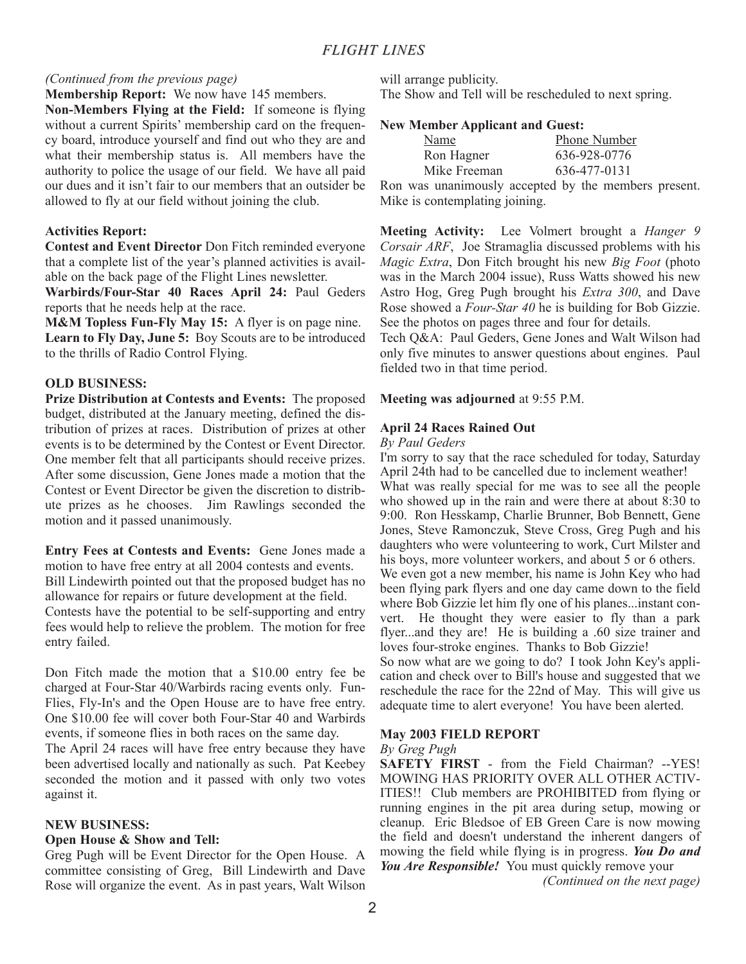## *(Continued from the previous page)*

# **Membership Report:** We now have 145 members.

**Non-Members Flying at the Field:** If someone is flying without a current Spirits' membership card on the frequency board, introduce yourself and find out who they are and what their membership status is. All members have the authority to police the usage of our field. We have all paid our dues and it isn't fair to our members that an outsider be allowed to fly at our field without joining the club.

## **Activities Report:**

**Contest and Event Director** Don Fitch reminded everyone that a complete list of the year's planned activities is available on the back page of the Flight Lines newsletter.

**Warbirds/Four-Star 40 Races April 24:** Paul Geders reports that he needs help at the race.

**M&M Topless Fun-Fly May 15:** A flyer is on page nine. **Learn to Fly Day, June 5:** Boy Scouts are to be introduced to the thrills of Radio Control Flying.

## **OLD BUSINESS:**

**Prize Distribution at Contests and Events:** The proposed budget, distributed at the January meeting, defined the distribution of prizes at races. Distribution of prizes at other events is to be determined by the Contest or Event Director. One member felt that all participants should receive prizes. After some discussion, Gene Jones made a motion that the Contest or Event Director be given the discretion to distribute prizes as he chooses. Jim Rawlings seconded the motion and it passed unanimously.

**Entry Fees at Contests and Events:** Gene Jones made a motion to have free entry at all 2004 contests and events. Bill Lindewirth pointed out that the proposed budget has no allowance for repairs or future development at the field. Contests have the potential to be self-supporting and entry fees would help to relieve the problem. The motion for free entry failed.

Don Fitch made the motion that a \$10.00 entry fee be charged at Four-Star 40/Warbirds racing events only. Fun-Flies, Fly-In's and the Open House are to have free entry. One \$10.00 fee will cover both Four-Star 40 and Warbirds events, if someone flies in both races on the same day.

The April 24 races will have free entry because they have been advertised locally and nationally as such. Pat Keebey seconded the motion and it passed with only two votes against it.

## **NEW BUSINESS:**

## **Open House & Show and Tell:**

Greg Pugh will be Event Director for the Open House. A committee consisting of Greg, Bill Lindewirth and Dave Rose will organize the event. As in past years, Walt Wilson will arrange publicity. The Show and Tell will be rescheduled to next spring.

## **New Member Applicant and Guest:**

| Name                           | Phone Number                                         |
|--------------------------------|------------------------------------------------------|
| Ron Hagner                     | 636-928-0776                                         |
| Mike Freeman                   | 636-477-0131                                         |
|                                | Ron was unanimously accepted by the members present. |
| Mike is contemplating joining. |                                                      |

**Meeting Activity:** Lee Volmert brought a *Hanger 9 Corsair ARF*, Joe Stramaglia discussed problems with his *Magic Extra*, Don Fitch brought his new *Big Foot* (photo was in the March 2004 issue), Russ Watts showed his new Astro Hog, Greg Pugh brought his *Extra 300*, and Dave Rose showed a *Four-Star 40* he is building for Bob Gizzie. See the photos on pages three and four for details.

Tech Q&A: Paul Geders, Gene Jones and Walt Wilson had only five minutes to answer questions about engines. Paul fielded two in that time period.

#### **Meeting was adjourned** at 9:55 P.M.

## **April 24 Races Rained Out**

#### *By Paul Geders*

I'm sorry to say that the race scheduled for today, Saturday April 24th had to be cancelled due to inclement weather! What was really special for me was to see all the people who showed up in the rain and were there at about 8:30 to 9:00. Ron Hesskamp, Charlie Brunner, Bob Bennett, Gene Jones, Steve Ramonczuk, Steve Cross, Greg Pugh and his daughters who were volunteering to work, Curt Milster and his boys, more volunteer workers, and about 5 or 6 others. We even got a new member, his name is John Key who had been flying park flyers and one day came down to the field where Bob Gizzie let him fly one of his planes...instant convert. He thought they were easier to fly than a park flyer...and they are! He is building a .60 size trainer and loves four-stroke engines. Thanks to Bob Gizzie!

So now what are we going to do? I took John Key's application and check over to Bill's house and suggested that we reschedule the race for the 22nd of May. This will give us adequate time to alert everyone! You have been alerted.

## **May 2003 FIELD REPORT**

#### *By Greg Pugh*

**SAFETY FIRST** - from the Field Chairman? --YES! MOWING HAS PRIORITY OVER ALL OTHER ACTIV-ITIES!! Club members are PROHIBITED from flying or running engines in the pit area during setup, mowing or cleanup. Eric Bledsoe of EB Green Care is now mowing the field and doesn't understand the inherent dangers of mowing the field while flying is in progress. *You Do and You Are Responsible!* You must quickly remove your

*(Continued on the next page)*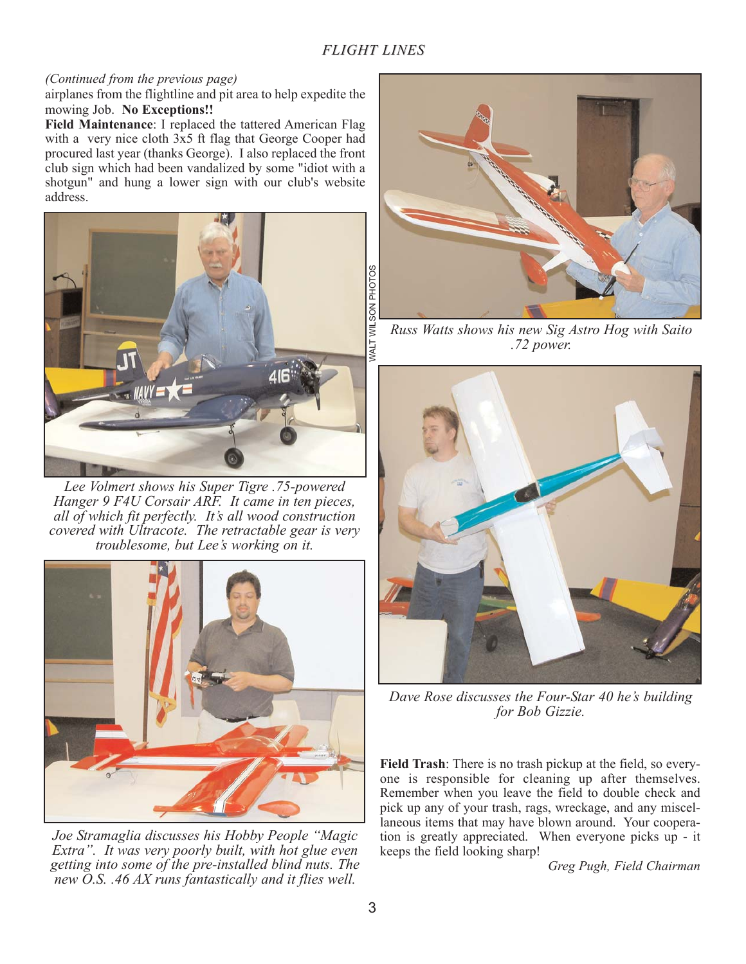# *(Continued from the previous page)*

airplanes from the flightline and pit area to help expedite the mowing Job. **No Exceptions!!** 

**Field Maintenance**: I replaced the tattered American Flag with a very nice cloth 3x5 ft flag that George Cooper had procured last year (thanks George). I also replaced the front club sign which had been vandalized by some "idiot with a shotgun" and hung a lower sign with our club's website address.



*Lee Volmert shows his Super Tigre .75-powered Hanger 9 F4U Corsair ARF. It came in ten pieces, all of which fit perfectly. It's all wood construction covered with Ultracote. The retractable gear is very troublesome, but Lee's working on it.*



*Joe Stramaglia discusses his Hobby People "Magic Extra". It was very poorly built, with hot glue even getting into some of the pre-installed blind nuts. The new O.S. .46 AX runs fantastically and it flies well.*



*Russ Watts shows his new Sig Astro Hog with Saito .72 power.*



*Dave Rose discusses the Four-Star 40 he's building for Bob Gizzie.*

**Field Trash**: There is no trash pickup at the field, so everyone is responsible for cleaning up after themselves. Remember when you leave the field to double check and pick up any of your trash, rags, wreckage, and any miscellaneous items that may have blown around. Your cooperation is greatly appreciated. When everyone picks up - it keeps the field looking sharp!

*Greg Pugh, Field Chairman*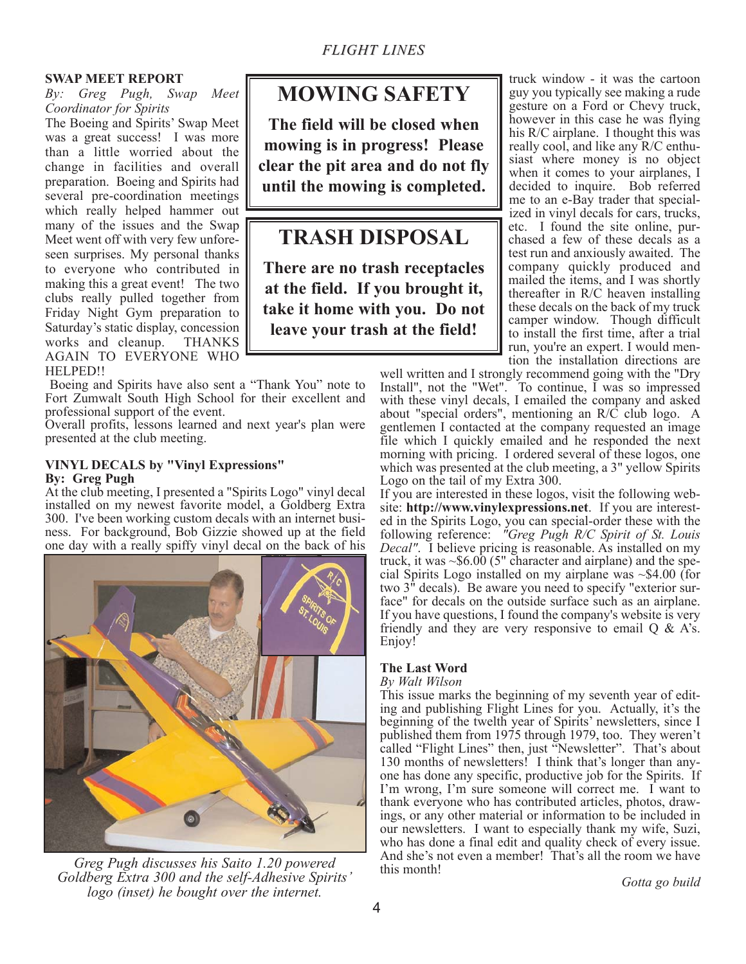# **SWAP MEET REPORT**

*By: Greg Pugh, Swap Meet Coordinator for Spirits*

The Boeing and Spirits' Swap Meet was a great success! I was more than a little worried about the change in facilities and overall preparation. Boeing and Spirits had several pre-coordination meetings which really helped hammer out many of the issues and the Swap Meet went off with very few unforeseen surprises. My personal thanks to everyone who contributed in making this a great event! The two clubs really pulled together from Friday Night Gym preparation to Saturday's static display, concession works and cleanup. THANKS AGAIN TO EVERYONE WHO HELPED!!

Boeing and Spirits have also sent a "Thank You" note to Fort Zumwalt South High School for their excellent and professional support of the event.

Overall profits, lessons learned and next year's plan were presented at the club meeting.

# **VINYL DECALS by "Vinyl Expressions" By: Greg Pugh**

At the club meeting, I presented a "Spirits Logo" vinyl decal installed on my newest favorite model, a Goldberg Extra 300. I've been working custom decals with an internet business. For background, Bob Gizzie showed up at the field one day with a really spiffy vinyl decal on the back of his



*Greg Pugh discusses his Saito 1.20 powered Goldberg Extra 300 and the self-Adhesive Spirits' logo (inset) he bought over the internet.* 

# **MOWING SAFETY**

**The field will be closed when mowing is in progress! Please clear the pit area and do not fly until the mowing is completed.**

# **TRASH DISPOSAL**

**There are no trash receptacles at the field. If you brought it, take it home with you. Do not leave your trash at the field!**

truck window - it was the cartoon guy you typically see making a rude gesture on a Ford or Chevy truck, however in this case he was flying his R/C airplane. I thought this was really cool, and like any R/C enthusiast where money is no object when it comes to your airplanes, I decided to inquire. Bob referred me to an e-Bay trader that specialized in vinyl decals for cars, trucks, etc. I found the site online, purchased a few of these decals as a test run and anxiously awaited. The company quickly produced and mailed the items, and I was shortly thereafter in R/C heaven installing these decals on the back of my truck camper window. Though difficult to install the first time, after a trial run, you're an expert. I would mention the installation directions are

well written and I strongly recommend going with the "Dry Install", not the "Wet". To continue, I was so impressed with these vinyl decals, I emailed the company and asked about "special orders", mentioning an R/C club logo. A gentlemen I contacted at the company requested an image file which I quickly emailed and he responded the next morning with pricing. I ordered several of these logos, one which was presented at the club meeting, a 3" yellow Spirits Logo on the tail of my Extra 300.

If you are interested in these logos, visit the following website: **http://www.vinylexpressions.net**. If you are interested in the Spirits Logo, you can special-order these with the following reference: *"Greg Pugh R/C Spirit of St. Louis Decal"*. I believe pricing is reasonable. As installed on my truck, it was  $\sim 0.00$  (5" character and airplane) and the special Spirits Logo installed on my airplane was ~\$4.00 (for two 3" decals). Be aware you need to specify "exterior surface" for decals on the outside surface such as an airplane. If you have questions, I found the company's website is very friendly and they are very responsive to email  $Q \& A$ 's. Enjoy!

# **The Last Word**

## *By Walt Wilson*

This issue marks the beginning of my seventh year of editing and publishing Flight Lines for you. Actually, it's the beginning of the twelth year of Spirits' newsletters, since I published them from 1975 through 1979, too. They weren't called "Flight Lines" then, just "Newsletter". That's about 130 months of newsletters! I think that's longer than anyone has done any specific, productive job for the Spirits. If I'm wrong, I'm sure someone will correct me. I want to thank everyone who has contributed articles, photos, drawings, or any other material or information to be included in our newsletters. I want to especially thank my wife, Suzi, who has done a final edit and quality check of every issue. And she's not even a member! That's all the room we have this month!

*Gotta go build*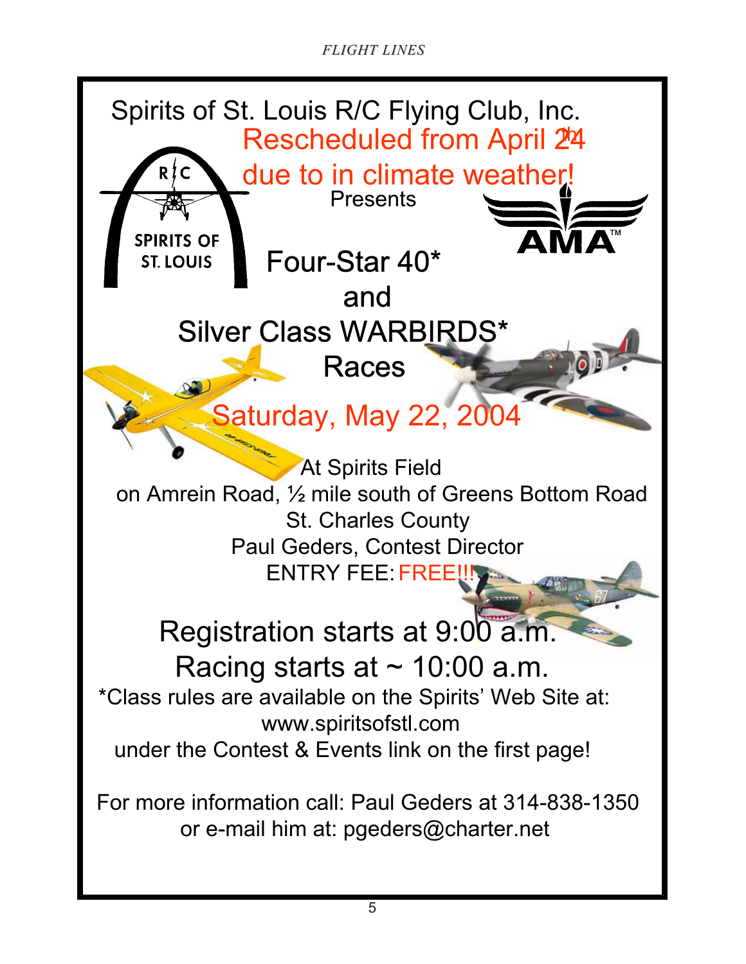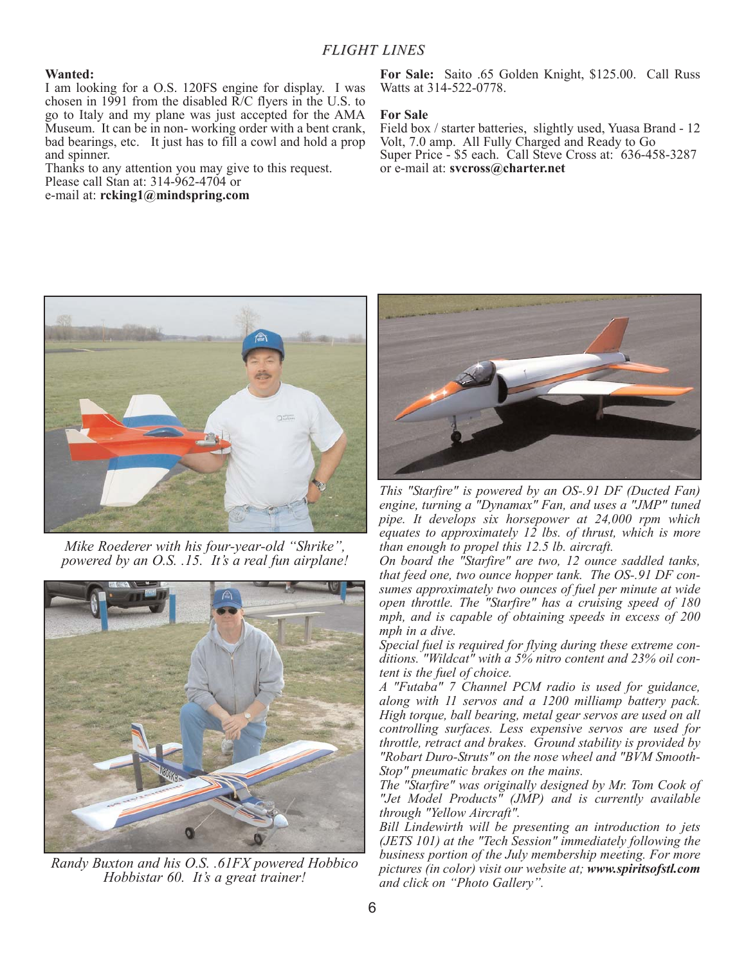#### **Wanted:**

I am looking for a O.S. 120FS engine for display. I was chosen in 1991 from the disabled R/C flyers in the U.S. to go to Italy and my plane was just accepted for the AMA Museum. It can be in non- working order with a bent crank, bad bearings, etc. It just has to fill a cowl and hold a prop and spinner.

Thanks to any attention you may give to this request. Please call Stan at: 314-962-4704 or e-mail at: **rcking1@mindspring.com**

**For Sale:** Saito .65 Golden Knight, \$125.00. Call Russ Watts at 314-522-0778.

#### **For Sale**

Field box / starter batteries, slightly used, Yuasa Brand - 12 Volt, 7.0 amp. All Fully Charged and Ready to Go Super Price - \$5 each. Call Steve Cross at: 636-458-3287 or e-mail at: **svcross@charter.net**



*Mike Roederer with his four-year-old "Shrike", powered by an O.S. .15. It's a real fun airplane!*



*Randy Buxton and his O.S. .61FX powered Hobbico Hobbistar 60. It's a great trainer!*



*This "Starfire" is powered by an OS-.91 DF (Ducted Fan) engine, turning a "Dynamax" Fan, and uses a "JMP" tuned pipe. It develops six horsepower at 24,000 rpm which equates to approximately 12 lbs. of thrust, which is more than enough to propel this 12.5 lb. aircraft.*

*On board the "Starfire" are two, 12 ounce saddled tanks, that feed one, two ounce hopper tank. The OS-.91 DF consumes approximately two ounces of fuel per minute at wide open throttle. The "Starfire" has a cruising speed of 180 mph, and is capable of obtaining speeds in excess of 200 mph in a dive.* 

*Special fuel is required for flying during these extreme conditions. "Wildcat" with a 5% nitro content and 23% oil content is the fuel of choice.*

*A "Futaba" 7 Channel PCM radio is used for guidance, along with 11 servos and a 1200 milliamp battery pack. High torque, ball bearing, metal gear servos are used on all controlling surfaces. Less expensive servos are used for throttle, retract and brakes. Ground stability is provided by* "Robart Duro-Struts" on the nose wheel and "BVM Smooth-*Stop" pneumatic brakes on the mains.*

*The "Starfire" was originally designed by Mr. Tom Cook of "Jet Model Products" (JMP) and is currently available through "Yellow Aircraft".*

*Bill Lindewirth will be presenting an introduction to jets (JETS 101) at the "Tech Session" immediately following the business portion of the July membership meeting. For more pictures (in color) visit our website at; www.spiritsofstl.com and click on "Photo Gallery".*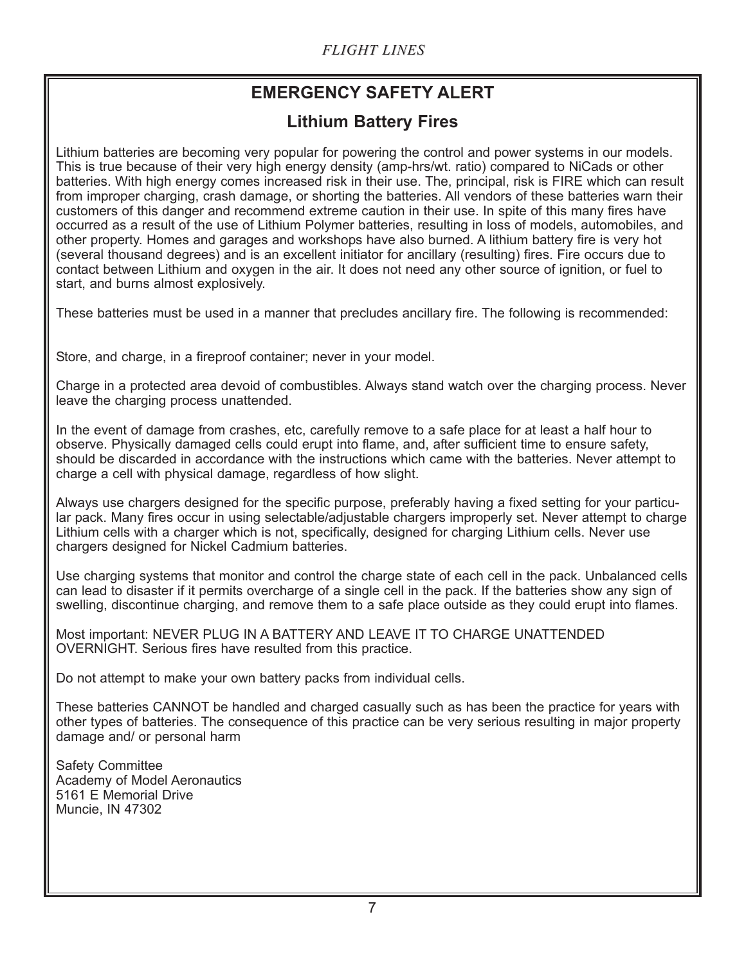# **EMERGENCY SAFETY ALERT**

# **Lithium Battery Fires**

Lithium batteries are becoming very popular for powering the control and power systems in our models. This is true because of their very high energy density (amp-hrs/wt. ratio) compared to NiCads or other batteries. With high energy comes increased risk in their use. The, principal, risk is FIRE which can result from improper charging, crash damage, or shorting the batteries. All vendors of these batteries warn their customers of this danger and recommend extreme caution in their use. In spite of this many fires have occurred as a result of the use of Lithium Polymer batteries, resulting in loss of models, automobiles, and other property. Homes and garages and workshops have also burned. A lithium battery fire is very hot (several thousand degrees) and is an excellent initiator for ancillary (resulting) fires. Fire occurs due to contact between Lithium and oxygen in the air. It does not need any other source of ignition, or fuel to start, and burns almost explosively.

These batteries must be used in a manner that precludes ancillary fire. The following is recommended:

Store, and charge, in a fireproof container; never in your model.

Charge in a protected area devoid of combustibles. Always stand watch over the charging process. Never leave the charging process unattended.

In the event of damage from crashes, etc, carefully remove to a safe place for at least a half hour to observe. Physically damaged cells could erupt into flame, and, after sufficient time to ensure safety, should be discarded in accordance with the instructions which came with the batteries. Never attempt to charge a cell with physical damage, regardless of how slight.

Always use chargers designed for the specific purpose, preferably having a fixed setting for your particular pack. Many fires occur in using selectable/adjustable chargers improperly set. Never attempt to charge Lithium cells with a charger which is not, specifically, designed for charging Lithium cells. Never use chargers designed for Nickel Cadmium batteries.

Use charging systems that monitor and control the charge state of each cell in the pack. Unbalanced cells can lead to disaster if it permits overcharge of a single cell in the pack. If the batteries show any sign of swelling, discontinue charging, and remove them to a safe place outside as they could erupt into flames.

Most important: NEVER PLUG IN A BATTERY AND LEAVE IT TO CHARGE UNATTENDED OVERNIGHT. Serious fires have resulted from this practice.

Do not attempt to make your own battery packs from individual cells.

These batteries CANNOT be handled and charged casually such as has been the practice for years with other types of batteries. The consequence of this practice can be very serious resulting in major property damage and/ or personal harm

Safety Committee Academy of Model Aeronautics 5161 E Memorial Drive Muncie, IN 47302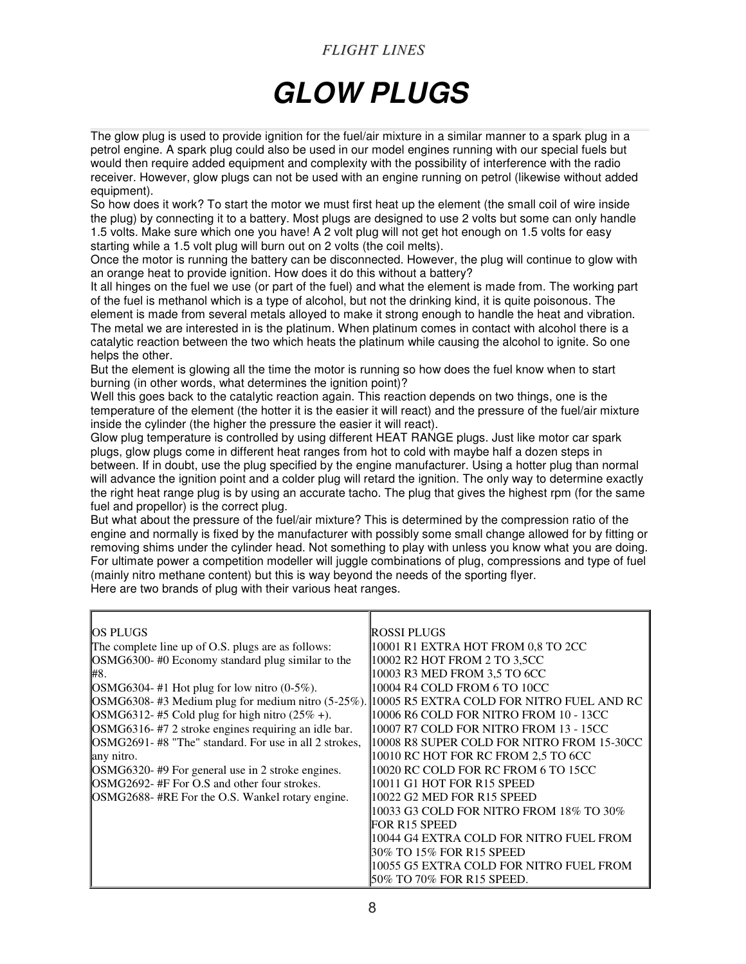# *GLOW PLUGS*

The glow plug is used to provide ignition for the fuel/air mixture in a similar manner to a spark plug in a petrol engine. A spark plug could also be used in our model engines running with our special fuels but would then require added equipment and complexity with the possibility of interference with the radio receiver. However, glow plugs can not be used with an engine running on petrol (likewise without added equipment).

So how does it work? To start the motor we must first heat up the element (the small coil of wire inside the plug) by connecting it to a battery. Most plugs are designed to use 2 volts but some can only handle 1.5 volts. Make sure which one you have! A 2 volt plug will not get hot enough on 1.5 volts for easy starting while a 1.5 volt plug will burn out on 2 volts (the coil melts).

Once the motor is running the battery can be disconnected. However, the plug will continue to glow with an orange heat to provide ignition. How does it do this without a battery?

It all hinges on the fuel we use (or part of the fuel) and what the element is made from. The working part of the fuel is methanol which is a type of alcohol, but not the drinking kind, it is quite poisonous. The element is made from several metals alloyed to make it strong enough to handle the heat and vibration. The metal we are interested in is the platinum. When platinum comes in contact with alcohol there is a

catalytic reaction between the two which heats the platinum while causing the alcohol to ignite. So one helps the other.

But the element is glowing all the time the motor is running so how does the fuel know when to start burning (in other words, what determines the ignition point)?

Well this goes back to the catalytic reaction again. This reaction depends on two things, one is the temperature of the element (the hotter it is the easier it will react) and the pressure of the fuel/air mixture inside the cylinder (the higher the pressure the easier it will react).

Glow plug temperature is controlled by using different HEAT RANGE plugs. Just like motor car spark plugs, glow plugs come in different heat ranges from hot to cold with maybe half a dozen steps in between. If in doubt, use the plug specified by the engine manufacturer. Using a hotter plug than normal will advance the ignition point and a colder plug will retard the ignition. The only way to determine exactly the right heat range plug is by using an accurate tacho. The plug that gives the highest rpm (for the same fuel and propellor) is the correct plug.

But what about the pressure of the fuel/air mixture? This is determined by the compression ratio of the engine and normally is fixed by the manufacturer with possibly some small change allowed for by fitting or removing shims under the cylinder head. Not something to play with unless you know what you are doing. For ultimate power a competition modeller will juggle combinations of plug, compressions and type of fuel (mainly nitro methane content) but this is way beyond the needs of the sporting flyer.

Here are two brands of plug with their various heat ranges.

| IOS PLUGS                                                    | IROSSI PLUGS                               |
|--------------------------------------------------------------|--------------------------------------------|
| The complete line up of O.S. plugs are as follows:           | 10001 R1 EXTRA HOT FROM 0,8 TO 2CC         |
| OSMG6300-#0 Economy standard plug similar to the             | 10002 R2 HOT FROM 2 TO 3,5CC               |
| ⊯8.                                                          | 10003 R3 MED FROM 3.5 TO 6CC               |
| $\text{OSMG}6304- \text{\#1}$ Hot plug for low nitro (0-5%). | 10004 R4 COLD FROM 6 TO 10CC               |
| $\text{OSMG}6308-$ #3 Medium plug for medium nitro (5-25%).  | 10005 R5 EXTRA COLD FOR NITRO FUEL AND RC  |
| $OSMG6312-#5$ Cold plug for high nitro (25% +).              | 10006 R6 COLD FOR NITRO FROM 10 - 13CC     |
| OSMG6316-#7 2 stroke engines requiring an idle bar.          | 10007 R7 COLD FOR NITRO FROM 13 - 15CC     |
| OSMG2691-#8 "The" standard. For use in all 2 strokes,        | 10008 R8 SUPER COLD FOR NITRO FROM 15-30CC |
| any nitro.                                                   | 10010 RC HOT FOR RC FROM 2,5 TO 6CC        |
| [OSMG6320- #9 For general use in 2 stroke engines.           | 10020 RC COLD FOR RC FROM 6 TO 15CC        |
| OSMG2692- #F For O.S and other four strokes.                 | 10011 G1 HOT FOR R15 SPEED                 |
| OSMG2688- #RE For the O.S. Wankel rotary engine.             | 10022 G2 MED FOR R15 SPEED                 |
|                                                              | 10033 G3 COLD FOR NITRO FROM 18% TO 30%    |
|                                                              | FOR R15 SPEED                              |
|                                                              | 10044 G4 EXTRA COLD FOR NITRO FUEL FROM    |
|                                                              | 30% TO 15% FOR R15 SPEED                   |
|                                                              | 10055 G5 EXTRA COLD FOR NITRO FUEL FROM    |
|                                                              | 50% TO 70% FOR R15 SPEED.                  |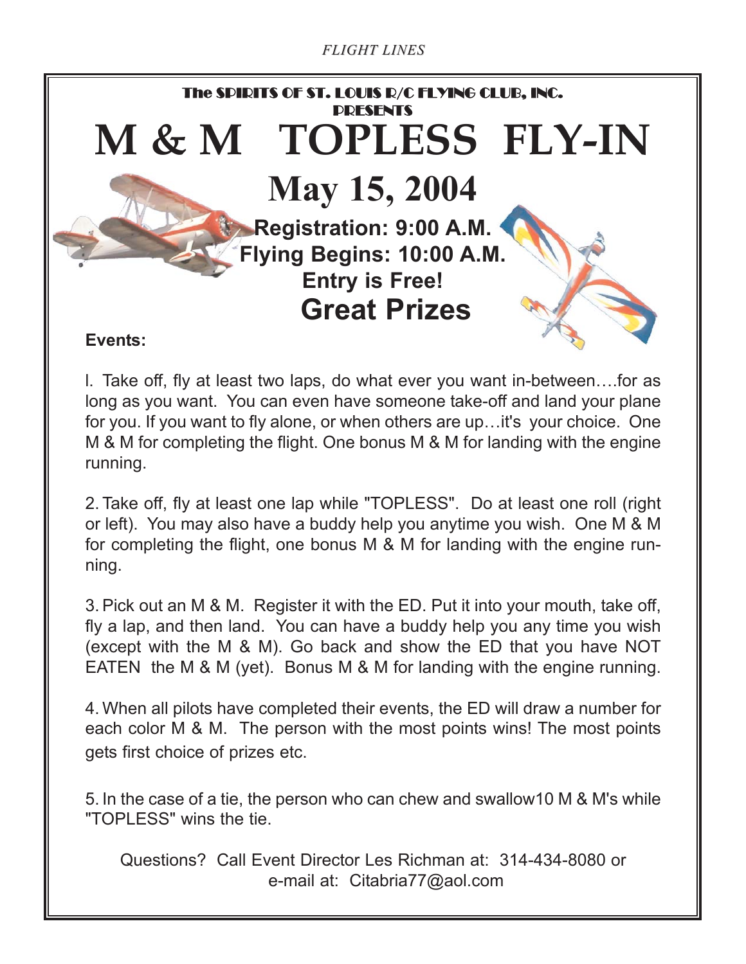

l. Take off, fly at least two laps, do what ever you want in-between….for as long as you want. You can even have someone take-off and land your plane for you. If you want to fly alone, or when others are up…it's your choice. One M & M for completing the flight. One bonus M & M for landing with the engine running.

2. Take off, fly at least one lap while "TOPLESS". Do at least one roll (right or left). You may also have a buddy help you anytime you wish. One M & M for completing the flight, one bonus M & M for landing with the engine running.

3. Pick out an M & M. Register it with the ED. Put it into your mouth, take off, fly a lap, and then land. You can have a buddy help you any time you wish (except with the M & M). Go back and show the ED that you have NOT EATEN the M & M (yet). Bonus M & M for landing with the engine running.

4. When all pilots have completed their events, the ED will draw a number for each color M & M. The person with the most points wins! The most points gets first choice of prizes etc.

5. In the case of a tie, the person who can chew and swallow10 M & M's while "TOPLESS" wins the tie.

Questions? Call Event Director Les Richman at: 314-434-8080 or e-mail at: Citabria77@aol.com